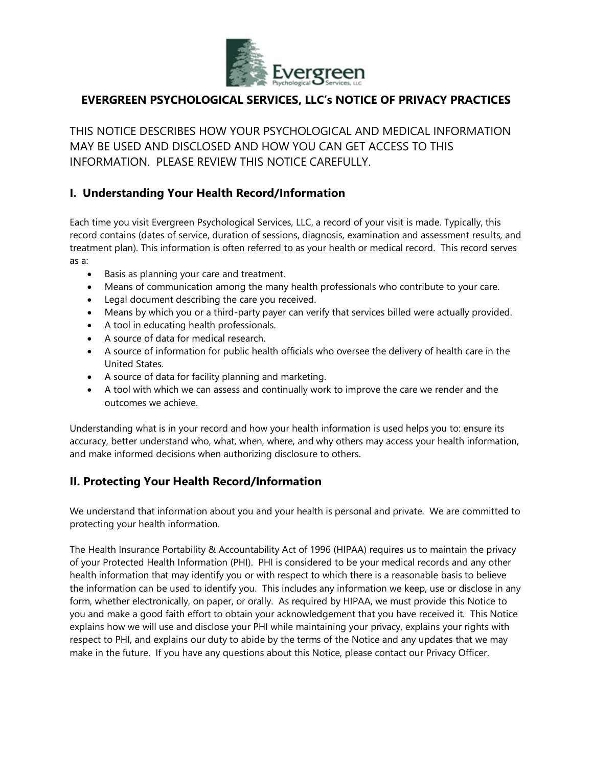

# **EVERGREEN PSYCHOLOGICAL SERVICES, LLC's NOTICE OF PRIVACY PRACTICES**

THIS NOTICE DESCRIBES HOW YOUR PSYCHOLOGICAL AND MEDICAL INFORMATION MAY BE USED AND DISCLOSED AND HOW YOU CAN GET ACCESS TO THIS INFORMATION PI FASE REVIEW THIS NOTICE CAREFULLY.

#### **I. Understanding Your Health Record/Information**

Each time you visit Evergreen Psychological Services, LLC, a record of your visit is made. Typically, this record contains (dates of service, duration of sessions, diagnosis, examination and assessment results, and treatment plan). This information is often referred to as your health or medical record. This record serves as a:

- Basis as planning your care and treatment.
- Means of communication among the many health professionals who contribute to your care.
- Legal document describing the care you received.
- Means by which you or a third-party payer can verify that services billed were actually provided.
- A tool in educating health professionals.
- A source of data for medical research.
- A source of information for public health officials who oversee the delivery of health care in the United States.
- A source of data for facility planning and marketing.
- A tool with which we can assess and continually work to improve the care we render and the outcomes we achieve.

Understanding what is in your record and how your health information is used helps you to: ensure its accuracy, better understand who, what, when, where, and why others may access your health information, and make informed decisions when authorizing disclosure to others.

### **II. Protecting Your Health Record/Information**

We understand that information about you and your health is personal and private. We are committed to protecting your health information.

The Health Insurance Portability & Accountability Act of 1996 (HIPAA) requires us to maintain the privacy of your Protected Health Information (PHI). PHI is considered to be your medical records and any other health information that may identify you or with respect to which there is a reasonable basis to believe the information can be used to identify you. This includes any information we keep, use or disclose in any form, whether electronically, on paper, or orally. As required by HIPAA, we must provide this Notice to you and make a good faith effort to obtain your acknowledgement that you have received it. This Notice explains how we will use and disclose your PHI while maintaining your privacy, explains your rights with respect to PHI, and explains our duty to abide by the terms of the Notice and any updates that we may make in the future. If you have any questions about this Notice, please contact our Privacy Officer.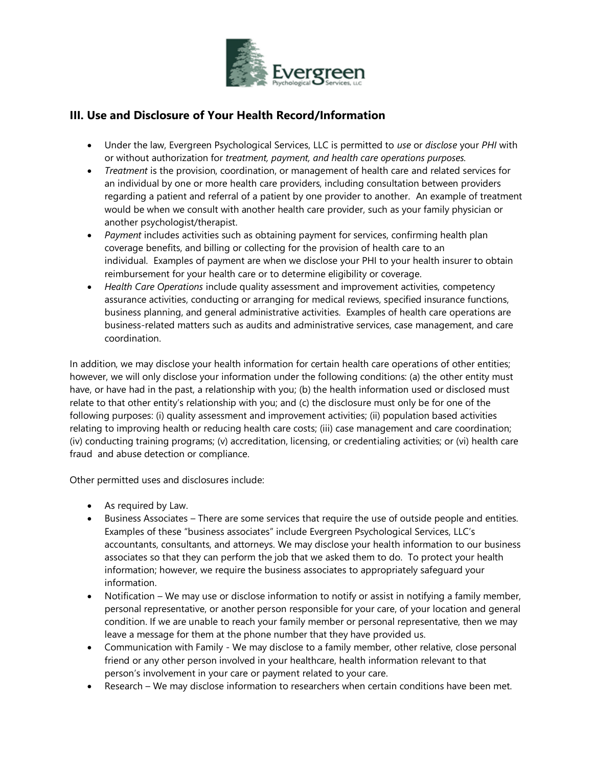

# **III. Use and Disclosure of Your Health Record/Information**

- Under the law, Evergreen Psychological Services, LLC is permitted to *use* or *disclose* your *PHI* with or without authorization for *treatment, payment, and health care operations purposes.*
- *Treatment* is the provision, coordination, or management of health care and related services for an individual by one or more health care providers, including consultation between providers regarding a patient and referral of a patient by one provider to another. An example of treatment would be when we consult with another health care provider, such as your family physician or another psychologist/therapist.
- *Payment* includes activities such as obtaining payment for services, confirming health plan coverage benefits, and billing or collecting for the provision of health care to an individual. Examples of payment are when we disclose your PHI to your health insurer to obtain reimbursement for your health care or to determine eligibility or coverage.
- *Health Care Operations* include quality assessment and improvement activities, competency assurance activities, conducting or arranging for medical reviews, specified insurance functions, business planning, and general administrative activities. Examples of health care operations are business-related matters such as audits and administrative services, case management, and care coordination.

In addition, we may disclose your health information for certain health care operations of other entities; however, we will only disclose your information under the following conditions: (a) the other entity must have, or have had in the past, a relationship with you; (b) the health information used or disclosed must relate to that other entity's relationship with you; and (c) the disclosure must only be for one of the following purposes: (i) quality assessment and improvement activities; (ii) population based activities relating to improving health or reducing health care costs; (iii) case management and care coordination; (iv) conducting training programs; (v) accreditation, licensing, or credentialing activities; or (vi) health care fraud and abuse detection or compliance.

Other permitted uses and disclosures include:

- As required by Law.
- Business Associates There are some services that require the use of outside people and entities. Examples of these "business associates" include Evergreen Psychological Services, LLC's accountants, consultants, and attorneys. We may disclose your health information to our business associates so that they can perform the job that we asked them to do. To protect your health information; however, we require the business associates to appropriately safeguard your information.
- Notification We may use or disclose information to notify or assist in notifying a family member, personal representative, or another person responsible for your care, of your location and general condition. If we are unable to reach your family member or personal representative, then we may leave a message for them at the phone number that they have provided us.
- Communication with Family We may disclose to a family member, other relative, close personal friend or any other person involved in your healthcare, health information relevant to that person's involvement in your care or payment related to your care.
- Research We may disclose information to researchers when certain conditions have been met.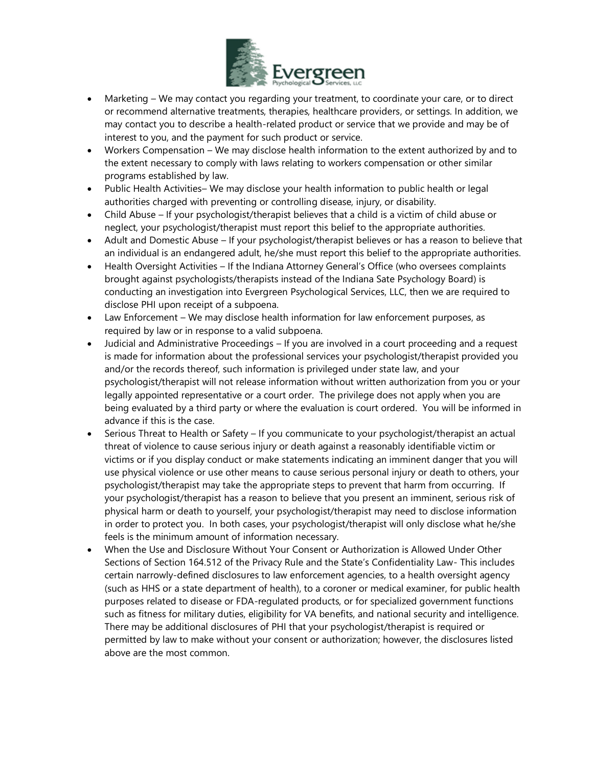

- Marketing We may contact you regarding your treatment, to coordinate your care, or to direct or recommend alternative treatments, therapies, healthcare providers, or settings. In addition, we may contact you to describe a health-related product or service that we provide and may be of interest to you, and the payment for such product or service.
- Workers Compensation We may disclose health information to the extent authorized by and to the extent necessary to comply with laws relating to workers compensation or other similar programs established by law.
- Public Health Activities– We may disclose your health information to public health or legal authorities charged with preventing or controlling disease, injury, or disability.
- Child Abuse If your psychologist/therapist believes that a child is a victim of child abuse or neglect, your psychologist/therapist must report this belief to the appropriate authorities.
- Adult and Domestic Abuse If your psychologist/therapist believes or has a reason to believe that an individual is an endangered adult, he/she must report this belief to the appropriate authorities.
- Health Oversight Activities If the Indiana Attorney General's Office (who oversees complaints brought against psychologists/therapists instead of the Indiana Sate Psychology Board) is conducting an investigation into Evergreen Psychological Services, LLC, then we are required to disclose PHI upon receipt of a subpoena.
- Law Enforcement We may disclose health information for law enforcement purposes, as required by law or in response to a valid subpoena.
- Judicial and Administrative Proceedings If you are involved in a court proceeding and a request is made for information about the professional services your psychologist/therapist provided you and/or the records thereof, such information is privileged under state law, and your psychologist/therapist will not release information without written authorization from you or your legally appointed representative or a court order. The privilege does not apply when you are being evaluated by a third party or where the evaluation is court ordered. You will be informed in advance if this is the case.
- Serious Threat to Health or Safety If you communicate to your psychologist/therapist an actual threat of violence to cause serious injury or death against a reasonably identifiable victim or victims or if you display conduct or make statements indicating an imminent danger that you will use physical violence or use other means to cause serious personal injury or death to others, your psychologist/therapist may take the appropriate steps to prevent that harm from occurring. If your psychologist/therapist has a reason to believe that you present an imminent, serious risk of physical harm or death to yourself, your psychologist/therapist may need to disclose information in order to protect you. In both cases, your psychologist/therapist will only disclose what he/she feels is the minimum amount of information necessary.
- When the Use and Disclosure Without Your Consent or Authorization is Allowed Under Other Sections of Section 164.512 of the Privacy Rule and the State's Confidentiality Law- This includes certain narrowly-defined disclosures to law enforcement agencies, to a health oversight agency (such as HHS or a state department of health), to a coroner or medical examiner, for public health purposes related to disease or FDA-regulated products, or for specialized government functions such as fitness for military duties, eligibility for VA benefits, and national security and intelligence. There may be additional disclosures of PHI that your psychologist/therapist is required or permitted by law to make without your consent or authorization; however, the disclosures listed above are the most common.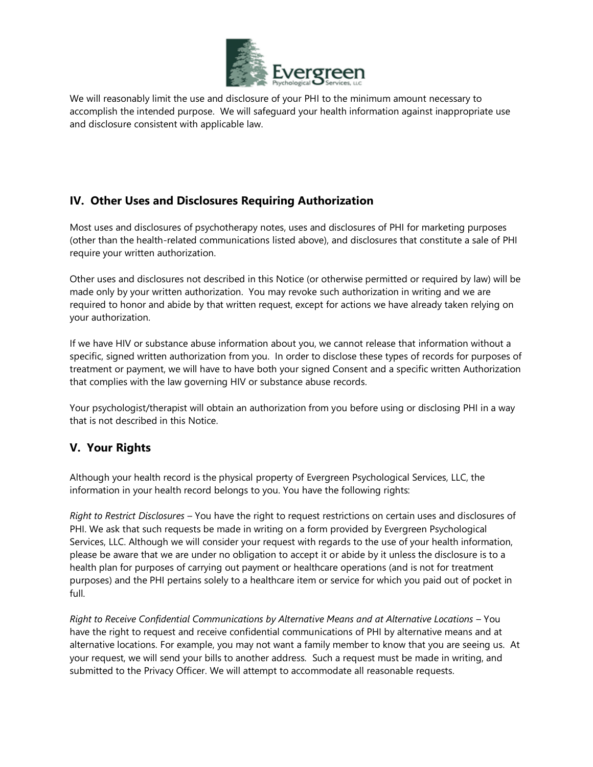

We will reasonably limit the use and disclosure of your PHI to the minimum amount necessary to accomplish the intended purpose. We will safeguard your health information against inappropriate use and disclosure consistent with applicable law.

# **IV. Other Uses and Disclosures Requiring Authorization**

Most uses and disclosures of psychotherapy notes, uses and disclosures of PHI for marketing purposes (other than the health-related communications listed above), and disclosures that constitute a sale of PHI require your written authorization.

Other uses and disclosures not described in this Notice (or otherwise permitted or required by law) will be made only by your written authorization. You may revoke such authorization in writing and we are required to honor and abide by that written request, except for actions we have already taken relying on your authorization.

If we have HIV or substance abuse information about you, we cannot release that information without a specific, signed written authorization from you. In order to disclose these types of records for purposes of treatment or payment, we will have to have both your signed Consent and a specific written Authorization that complies with the law governing HIV or substance abuse records.

Your psychologist/therapist will obtain an authorization from you before using or disclosing PHI in a way that is not described in this Notice.

### **V. Your Rights**

Although your health record is the physical property of Evergreen Psychological Services, LLC, the information in your health record belongs to you. You have the following rights:

*Right to Restrict Disclosures* – You have the right to request restrictions on certain uses and disclosures of PHI. We ask that such requests be made in writing on a form provided by Evergreen Psychological Services, LLC. Although we will consider your request with regards to the use of your health information, please be aware that we are under no obligation to accept it or abide by it unless the disclosure is to a health plan for purposes of carrying out payment or healthcare operations (and is not for treatment purposes) and the PHI pertains solely to a healthcare item or service for which you paid out of pocket in full.

*Right to Receive Confidential Communications by Alternative Means and at Alternative Locations* – You have the right to request and receive confidential communications of PHI by alternative means and at alternative locations. For example, you may not want a family member to know that you are seeing us. At your request, we will send your bills to another address. Such a request must be made in writing, and submitted to the Privacy Officer. We will attempt to accommodate all reasonable requests.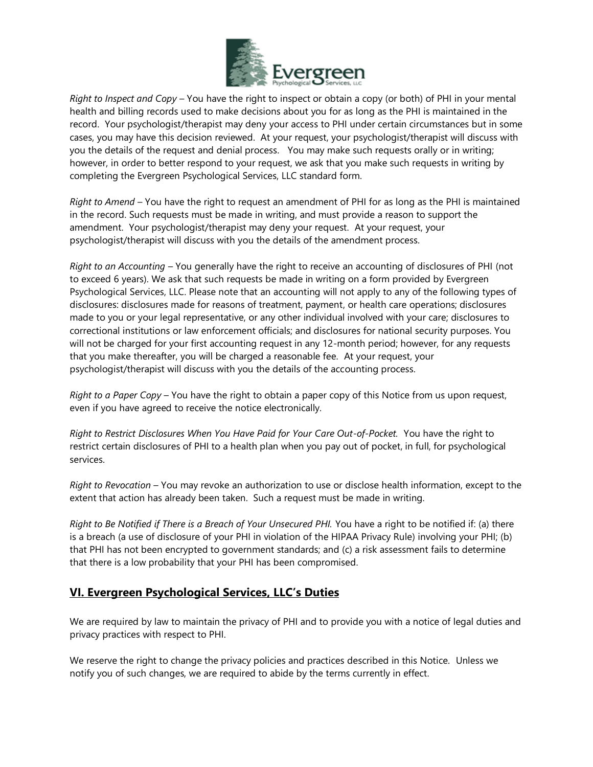

*Right to Inspect and Copy* – You have the right to inspect or obtain a copy (or both) of PHI in your mental health and billing records used to make decisions about you for as long as the PHI is maintained in the record. Your psychologist/therapist may deny your access to PHI under certain circumstances but in some cases, you may have this decision reviewed. At your request, your psychologist/therapist will discuss with you the details of the request and denial process. You may make such requests orally or in writing; however, in order to better respond to your request, we ask that you make such requests in writing by completing the Evergreen Psychological Services, LLC standard form.

*Right to Amend* – You have the right to request an amendment of PHI for as long as the PHI is maintained in the record. Such requests must be made in writing, and must provide a reason to support the amendment. Your psychologist/therapist may deny your request. At your request, your psychologist/therapist will discuss with you the details of the amendment process.

*Right to an Accounting* – You generally have the right to receive an accounting of disclosures of PHI (not to exceed 6 years). We ask that such requests be made in writing on a form provided by Evergreen Psychological Services, LLC. Please note that an accounting will not apply to any of the following types of disclosures: disclosures made for reasons of treatment, payment, or health care operations; disclosures made to you or your legal representative, or any other individual involved with your care; disclosures to correctional institutions or law enforcement officials; and disclosures for national security purposes. You will not be charged for your first accounting request in any 12-month period; however, for any requests that you make thereafter, you will be charged a reasonable fee. At your request, your psychologist/therapist will discuss with you the details of the accounting process.

*Right to a Paper Copy* – You have the right to obtain a paper copy of this Notice from us upon request, even if you have agreed to receive the notice electronically.

*Right to Restrict Disclosures When You Have Paid for Your Care Out-of-Pocket.* You have the right to restrict certain disclosures of PHI to a health plan when you pay out of pocket, in full, for psychological services.

*Right to Revocation* – You may revoke an authorization to use or disclose health information, except to the extent that action has already been taken. Such a request must be made in writing.

*Right to Be Notified if There is a Breach of Your Unsecured PHI.* You have a right to be notified if: (a) there is a breach (a use of disclosure of your PHI in violation of the HIPAA Privacy Rule) involving your PHI; (b) that PHI has not been encrypted to government standards; and (c) a risk assessment fails to determine that there is a low probability that your PHI has been compromised.

#### **VI. Evergreen Psychological Services, LLC's Duties**

We are required by law to maintain the privacy of PHI and to provide you with a notice of legal duties and privacy practices with respect to PHI.

We reserve the right to change the privacy policies and practices described in this Notice. Unless we notify you of such changes, we are required to abide by the terms currently in effect.